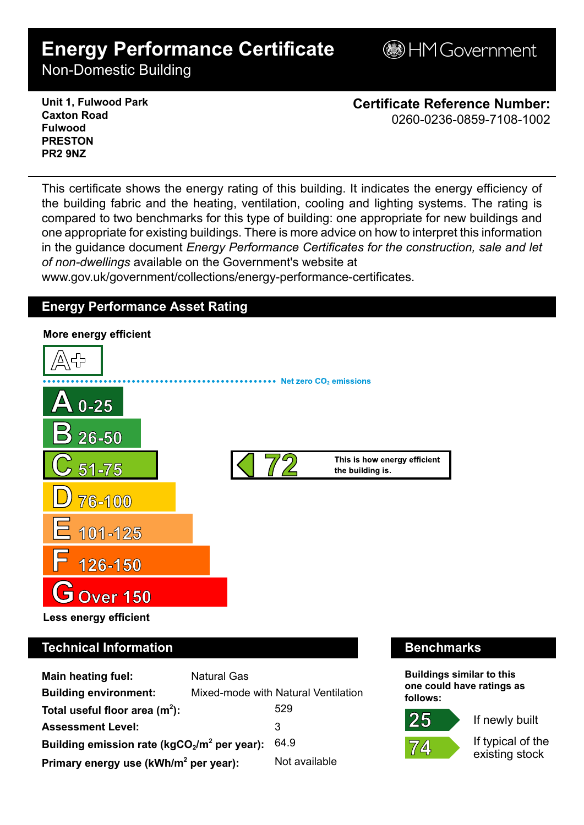# **Energy Performance Certificate**

**BHM Government** 

Non-Domestic Building

**Unit 1, Fulwood Park Caxton Road Fulwood PRESTON PR2 9NZ**

**Certificate Reference Number:** 0260-0236-0859-7108-1002

This certificate shows the energy rating of this building. It indicates the energy efficiency of the building fabric and the heating, ventilation, cooling and lighting systems. The rating is compared to two benchmarks for this type of building: one appropriate for new buildings and one appropriate for existing buildings. There is more advice on how to interpret this information in the guidance document *Energy Performance Certificates for the construction, sale and let of non-dwellings* available on the Government's website at

www.gov.uk/government/collections/energy-performance-certificates.

# **Energy Performance Asset Rating**



# **Technical Information Benchmarks**

| Main heating fuel:                                | <b>Natural Gas</b> |                                     |
|---------------------------------------------------|--------------------|-------------------------------------|
| <b>Building environment:</b>                      |                    | Mixed-mode with Natural Ventilation |
| Total useful floor area $(m2)$ :                  |                    | 529                                 |
| <b>Assessment Level:</b>                          |                    | 3                                   |
| Building emission rate ( $kgCO2/m2$ per year):    |                    | 64.9                                |
| Primary energy use (kWh/m <sup>2</sup> per year): |                    | Not available                       |

**Buildings similar to this one could have ratings as follows:**



If newly built

If typical of the existing stock